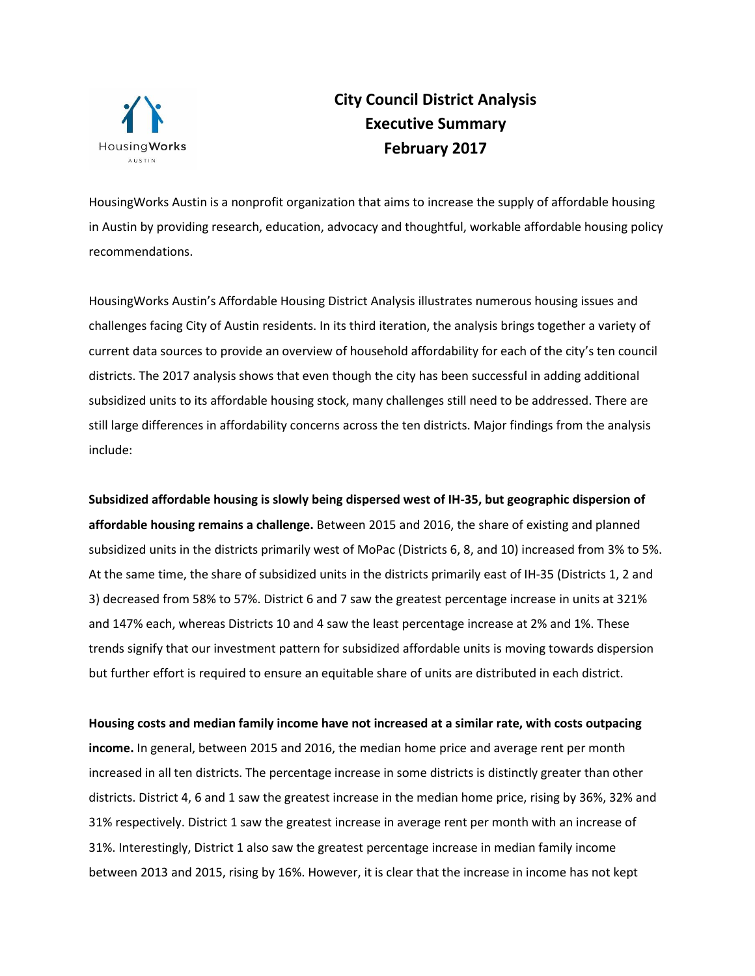

## **City Council District Analysis Executive Summary February 2017**

HousingWorks Austin is a nonprofit organization that aims to increase the supply of affordable housing in Austin by providing research, education, advocacy and thoughtful, workable affordable housing policy recommendations.

HousingWorks Austin's Affordable Housing District Analysis illustrates numerous housing issues and challenges facing City of Austin residents. In its third iteration, the analysis brings together a variety of current data sources to provide an overview of household affordability for each of the city's ten council districts. The 2017 analysis shows that even though the city has been successful in adding additional subsidized units to its affordable housing stock, many challenges still need to be addressed. There are still large differences in affordability concerns across the ten districts. Major findings from the analysis include:

**Subsidized affordable housing is slowly being dispersed west of IH-35, but geographic dispersion of affordable housing remains a challenge.** Between 2015 and 2016, the share of existing and planned subsidized units in the districts primarily west of MoPac (Districts 6, 8, and 10) increased from 3% to 5%. At the same time, the share of subsidized units in the districts primarily east of IH-35 (Districts 1, 2 and 3) decreased from 58% to 57%. District 6 and 7 saw the greatest percentage increase in units at 321% and 147% each, whereas Districts 10 and 4 saw the least percentage increase at 2% and 1%. These trends signify that our investment pattern for subsidized affordable units is moving towards dispersion but further effort is required to ensure an equitable share of units are distributed in each district.

**Housing costs and median family income have not increased at a similar rate, with costs outpacing income.** In general, between 2015 and 2016, the median home price and average rent per month increased in all ten districts. The percentage increase in some districts is distinctly greater than other districts. District 4, 6 and 1 saw the greatest increase in the median home price, rising by 36%, 32% and 31% respectively. District 1 saw the greatest increase in average rent per month with an increase of 31%. Interestingly, District 1 also saw the greatest percentage increase in median family income between 2013 and 2015, rising by 16%. However, it is clear that the increase in income has not kept